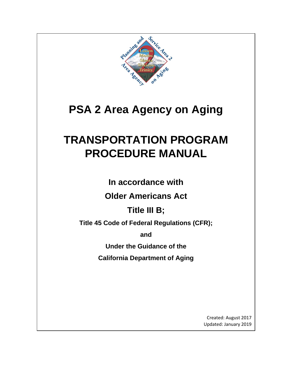

# **PSA 2 Area Agency on Aging**

# **TRANSPORTATION PROGRAM PROCEDURE MANUAL**

**In accordance with**

**Older Americans Act**

**Title III B;**

**Title 45 Code of Federal Regulations (CFR);** 

**and** 

**Under the Guidance of the** 

**California Department of Aging**

Created: August 2017 Updated: January 2019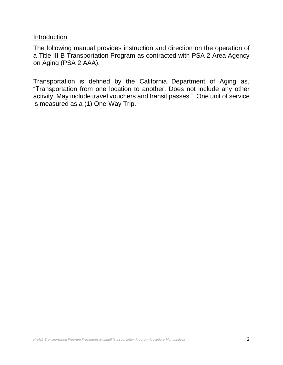Introduction

The following manual provides instruction and direction on the operation of a Title III B Transportation Program as contracted with PSA 2 Area Agency on Aging (PSA 2 AAA).

Transportation is defined by the California Department of Aging as, "Transportation from one location to another. Does not include any other activity. May include travel vouchers and transit passes." One unit of service is measured as a (1) One-Way Trip.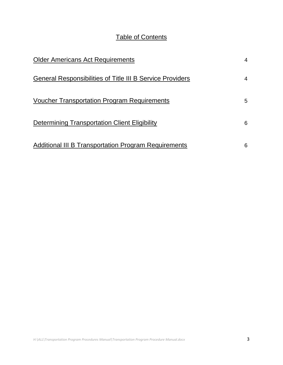### Table of Contents

| <b>Older Americans Act Requirements</b>                          | 4 |
|------------------------------------------------------------------|---|
| <b>General Responsibilities of Title III B Service Providers</b> | 4 |
| Voucher Transportation Program Requirements                      | 5 |
| Determining Transportation Client Eligibility                    | 6 |
| Additional III B Transportation Program Requirements             | 6 |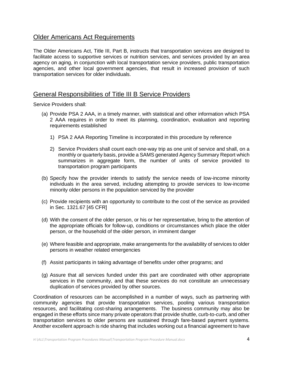#### Older Americans Act Requirements

The Older Americans Act, Title III, Part B, instructs that transportation services are designed to facilitate access to supportive services or nutrition services, and services provided by an area agency on aging, in conjunction with local transportation service providers, public transportation agencies, and other local government agencies, that result in increased provision of such transportation services for older individuals.

#### General Responsibilities of Title III B Service Providers

Service Providers shall:

- (a) Provide PSA 2 AAA, in a timely manner, with statistical and other information which PSA 2 AAA requires in order to meet its planning, coordination, evaluation and reporting requirements established
	- 1) PSA 2 AAA Reporting Timeline is incorporated in this procedure by reference
	- 2) Service Providers shall count each one-way trip as one unit of service and shall, on a monthly or quarterly basis, provide a SAMS generated Agency Summary Report which summarizes in aggregate form, the number of units of service provided to transportation program participants
- (b) Specify how the provider intends to satisfy the service needs of low-income minority individuals in the area served, including attempting to provide services to low-income minority older persons in the population serviced by the provider
- (c) Provide recipients with an opportunity to contribute to the cost of the service as provided in Sec. 1321.67 [45 CFR]
- (d) With the consent of the older person, or his or her representative, bring to the attention of the appropriate officials for follow-up, conditions or circumstances which place the older person, or the household of the older person, in imminent danger
- (e) Where feasible and appropriate, make arrangements for the availability of services to older persons in weather related emergencies
- (f) Assist participants in taking advantage of benefits under other programs; and
- (g) Assure that all services funded under this part are coordinated with other appropriate services in the community, and that these services do not constitute an unnecessary duplication of services provided by other sources.

Coordination of resources can be accomplished in a number of ways, such as partnering with community agencies that provide transportation services, pooling various transportation resources, and facilitating cost-sharing arrangements. The business community may also be engaged in these efforts since many private operators that provide shuttle, curb-to-curb, and other transportation services to older persons are sustained through fare-based payment systems. Another excellent approach is ride sharing that includes working out a financial agreement to have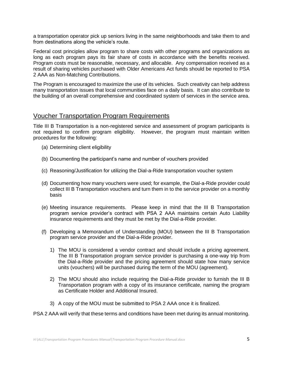a transportation operator pick up seniors living in the same neighborhoods and take them to and from destinations along the vehicle's route.

Federal cost principles allow program to share costs with other programs and organizations as long as each program pays its fair share of costs in accordance with the benefits received. Program costs must be reasonable, necessary, and allocable. Any compensation received as a result of sharing vehicles purchased with Older Americans Act funds should be reported to PSA 2 AAA as Non-Matching Contributions.

The Program is encouraged to maximize the use of its vehicles. Such creativity can help address many transportation issues that local communities face on a daily basis. It can also contribute to the building of an overall comprehensive and coordinated system of services in the service area.

#### Voucher Transportation Program Requirements

Title III B Transportation is a non-registered service and assessment of program participants is not required to confirm program eligibility. However, the program must maintain written procedures for the following:

- (a) Determining client eligibility
- (b) Documenting the participant's name and number of vouchers provided
- (c) Reasoning/Justification for utilizing the Dial-a-Ride transportation voucher system
- (d) Documenting how many vouchers were used; for example, the Dial-a-Ride provider could collect III B Transportation vouchers and turn them in to the service provider on a monthly basis
- (e) Meeting insurance requirements. Please keep in mind that the III B Transportation program service provider's contract with PSA 2 AAA maintains certain Auto Liability insurance requirements and they must be met by the Dial-a-Ride provider.
- (f) Developing a Memorandum of Understanding (MOU) between the III B Transportation program service provider and the Dial-a-Ride provider.
	- 1) The MOU is considered a vendor contract and should include a pricing agreement. The III B Transportation program service provider is purchasing a one-way trip from the Dial-a-Ride provider and the pricing agreement should state how many service units (vouchers) will be purchased during the term of the MOU (agreement).
	- 2) The MOU should also include requiring the Dial-a-Ride provider to furnish the III B Transportation program with a copy of its insurance certificate, naming the program as Certificate Holder and Additional Insured.
	- 3) A copy of the MOU must be submitted to PSA 2 AAA once it is finalized.

PSA 2 AAA will verify that these terms and conditions have been met during its annual monitoring.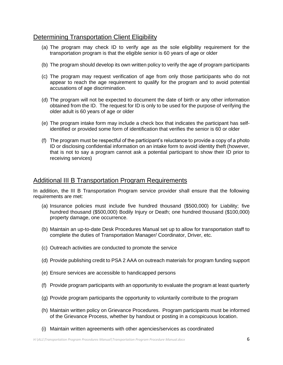#### Determining Transportation Client Eligibility

- (a) The program may check ID to verify age as the sole eligibility requirement for the transportation program is that the eligible senior is 60 years of age or older
- (b) The program should develop its own written policy to verify the age of program participants
- (c) The program may request verification of age from only those participants who do not appear to reach the age requirement to qualify for the program and to avoid potential accusations of age discrimination.
- (d) The program will not be expected to document the date of birth or any other information obtained from the ID. The request for ID is only to be used for the purpose of verifying the older adult is 60 years of age or older
- (e) The program intake form may include a check box that indicates the participant has selfidentified or provided some form of identification that verifies the senior is 60 or older
- (f) The program must be respectful of the participant's reluctance to provide a copy of a photo ID or disclosing confidential information on an intake form to avoid identity theft (however, that is not to say a program cannot ask a potential participant to show their ID prior to receiving services)

### Additional III B Transportation Program Requirements

In addition, the III B Transportation Program service provider shall ensure that the following requirements are met:

- (a) Insurance policies must include five hundred thousand (\$500,000) for Liability; five hundred thousand (\$500,000) Bodily Injury or Death; one hundred thousand (\$100,000) property damage, one occurrence.
- (b) Maintain an up-to-date Desk Procedures Manual set up to allow for transportation staff to complete the duties of Transportation Manager/ Coordinator, Driver, etc.
- (c) Outreach activities are conducted to promote the service
- (d) Provide publishing credit to PSA 2 AAA on outreach materials for program funding support
- (e) Ensure services are accessible to handicapped persons
- (f) Provide program participants with an opportunity to evaluate the program at least quarterly
- (g) Provide program participants the opportunity to voluntarily contribute to the program
- (h) Maintain written policy on Grievance Procedures. Program participants must be informed of the Grievance Process, whether by handout or posting in a conspicuous location.
- (i) Maintain written agreements with other agencies/services as coordinated